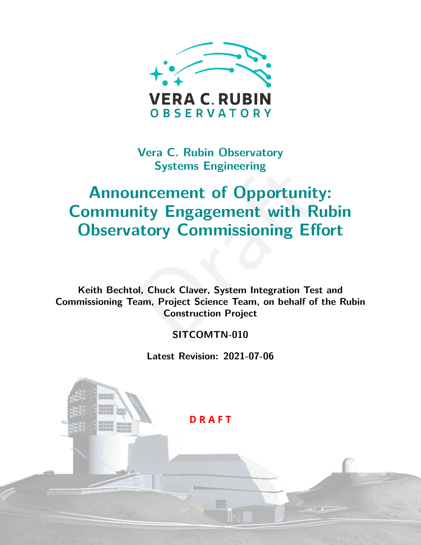

**Vera C. Rubin Observatory Systems Engineering**

# Systems Engmeering<br>
Incernent of Opportunity:<br>
ity Engagement with Rul<br>
atory Commissioning Effo<br>
D. Chuck Claver, System Integration Test a<br>
D. Chuck Claver, System Integration Test a<br>
Construction Project<br>
SITCOMTN-010 **Announcement of Opportunity: Community Engagement with Rubin Observatory Commissioning Effort**

**Keith Bechtol, Chuck Claver, System Integration Test and Commissioning Team, Project Science Team, on behalf of the Rubin Construction Project**

#### **SITCOMTN-010**

**Latest Revision: 2021-07-06**

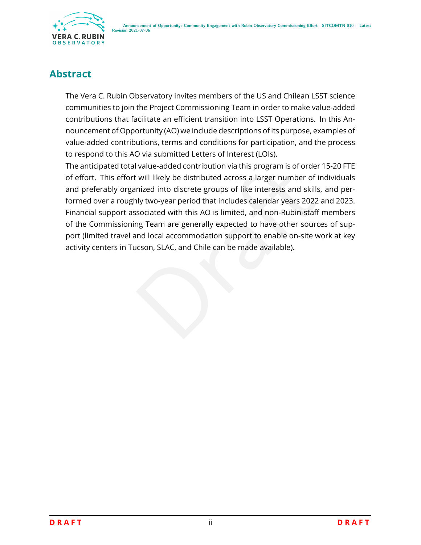

## **Abstract**

The Vera C. Rubin Observatory invites members of the US and Chilean LSST science communities to join the Project Commissioning Team in order to make value-added contributions that facilitate an efficient transition into LSST Operations. In this Announcement of Opportunity (AO) we include descriptions of its purpose, examples of value-added contributions, terms and conditions for participation, and the process to respond to this AO via submitted Letters of Interest (LOIs).

I value-added contribution via this program is of order 13<br>
i. will likely be distributed across a larger number of indi-<br>
inized into discrete groups of like interests and skills, and<br>
sociated with this AO is limited, an The anticipated total value-added contribution via this program is of order 15-20 FTE of effort. This effort will likely be distributed across a larger number of individuals and preferably organized into discrete groups of like interests and skills, and performed over a roughly two-year period that includes calendar years 2022 and 2023. Financial support associated with this AO is limited, and non-Rubin-staff members of the Commissioning Team are generally expected to have other sources of support (limited travel and local accommodation support to enable on-site work at key activity centers in Tucson, SLAC, and Chile can be made available).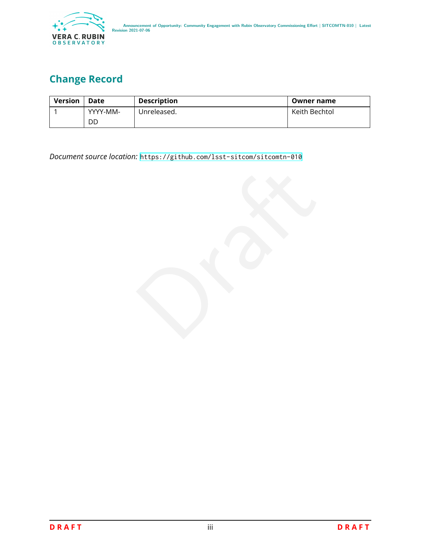

# **Change Record**

| <b>Version</b> | Date     | <b>Description</b> | Owner name    |
|----------------|----------|--------------------|---------------|
|                | YYYY-MM- | Unreleased.        | Keith Bechtol |
|                | DD       |                    |               |

*Document source location:* <https://github.com/lsst-sitcom/sitcomtn-010>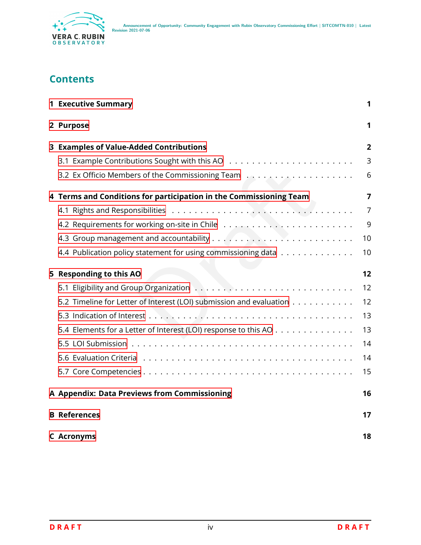

### **Contents**

| <b>1 Executive Summary</b>                                          | 1              |
|---------------------------------------------------------------------|----------------|
| 2 Purpose                                                           | 1              |
| 3 Examples of Value-Added Contributions                             | $\overline{2}$ |
|                                                                     | 3              |
| 3.2 Ex Officio Members of the Commissioning Team                    | 6              |
| 4 Terms and Conditions for participation in the Commissioning Team  | $\overline{7}$ |
|                                                                     | $\overline{7}$ |
|                                                                     | 9              |
|                                                                     | 10             |
| 4.4 Publication policy statement for using commissioning data       | 10             |
| 5 Responding to this AO                                             | 12             |
|                                                                     | 12             |
| 5.2 Timeline for Letter of Interest (LOI) submission and evaluation | 12             |
|                                                                     | 13             |
| 5.4 Elements for a Letter of Interest (LOI) response to this AO     | 13             |
|                                                                     | 14             |
|                                                                     | 14             |
|                                                                     | 15             |
| A Appendix: Data Previews from Commissioning                        | 16             |
| <b>B</b> References                                                 | 17             |
| <b>C</b> Acronyms                                                   | 18             |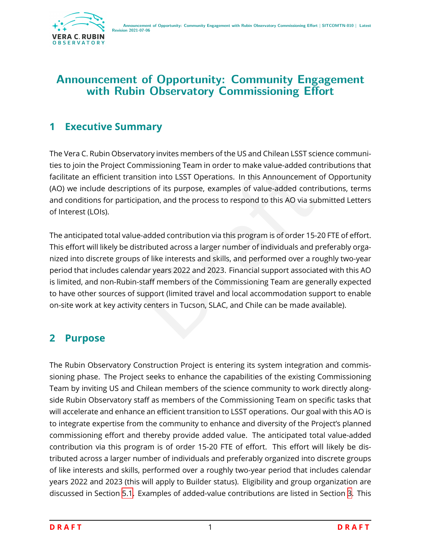

## **Announcement of Opportunity: Community Engagement with Rubin Observatory Commissioning Effort**

## <span id="page-4-0"></span>**1 Executive Summary**

The Vera C. Rubin Observatory invites members of the US and Chilean LSST science communities to join the Project Commissioning Team in order to make value-added contributions that facilitate an efficient transition into LSST Operations. In this Announcement of Opportunity (AO) we include descriptions of its purpose, examples of value-added contributions, terms and conditions for participation, and the process to respond to this AO via submitted Letters of Interest (LOIs).

minissioning reammotour to make value-added contrinuation into LSST Operations. In this Announcement of (<br>ions of its purpose, examples of value-added contributipation, and the process to respond to this AO via submi<br>ne-ad The anticipated total value-added contribution via this program is of order 15-20 FTE of effort. This effort will likely be distributed across a larger number of individuals and preferably organized into discrete groups of like interests and skills, and performed over a roughly two-year period that includes calendar years 2022 and 2023. Financial support associated with this AO is limited, and non-Rubin-staff members of the Commissioning Team are generally expected to have other sources of support (limited travel and local accommodation support to enable on-site work at key activity centers in Tucson, SLAC, and Chile can be made available).

## <span id="page-4-1"></span>**2 Purpose**

The Rubin Observatory Construction Project is entering its system integration and commissioning phase. The Project seeks to enhance the capabilities of the existing Commissioning Team by inviting US and Chilean members of the science community to work directly alongside Rubin Observatory staff as members of the Commissioning Team on specific tasks that will accelerate and enhance an efficient transition to LSST operations. Our goal with this AO is to integrate expertise from the community to enhance and diversity of the Project's planned commissioning effort and thereby provide added value. The anticipated total value-added contribution via this program is of order 15-20 FTE of effort. This effort will likely be distributed across a larger number of individuals and preferably organized into discrete groups of like interests and skills, performed over a roughly two-year period that includes calendar years 2022 and 2023 (this will apply to Builder status). Eligibility and group organization are discussed in Section [5.1](#page-15-1). Examples of added-value contributions are listed in Section [3.](#page-5-0) This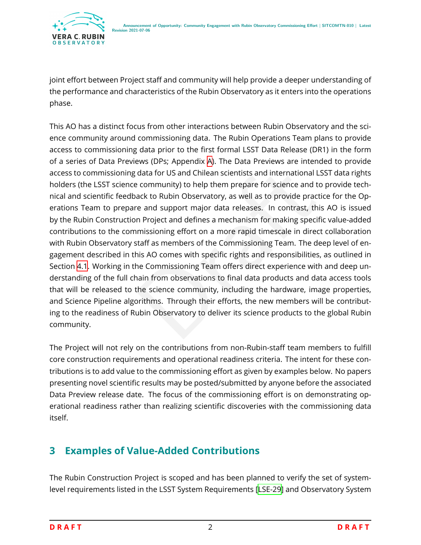joint effort between Project staff and community will help provide a deeper understanding of the performance and characteristics of the Rubin Observatory as it enters into the operations phase.

data for US and Chilean scientists and international LSS1<br>
De community) to help them prepare for science and to p<br>
ack to Rubin Observatory, as well as to provide practice<br>
re and support major data releases. In contrast, This AO has a distinct focus from other interactions between Rubin Observatory and the science community around commissioning data. The Rubin Operations Team plans to provide access to commissioning data prior to the first formal LSST Data Release (DR1) in the form of a series of Data Previews (DPs; Appendix [A\)](#page-19-0). The Data Previews are intended to provide access to commissioning data for US and Chilean scientists and international LSST data rights holders (the LSST science community) to help them prepare for science and to provide technical and scientific feedback to Rubin Observatory, as well as to provide practice for the Operations Team to prepare and support major data releases. In contrast, this AO is issued by the Rubin Construction Project and defines a mechanism for making specific value-added contributions to the commissioning effort on a more rapid timescale in direct collaboration with Rubin Observatory staff as members of the Commissioning Team. The deep level of engagement described in this AO comes with specific rights and responsibilities, as outlined in Section [4.1](#page-10-1). Working in the Commissioning Team offers direct experience with and deep understanding of the full chain from observations to final data products and data access tools that will be released to the science community, including the hardware, image properties, and Science Pipeline algorithms. Through their efforts, the new members will be contributing to the readiness of Rubin Observatory to deliver its science products to the global Rubin community.

The Project will not rely on the contributions from non-Rubin-staff team members to fulfill core construction requirements and operational readiness criteria. The intent for these contributions is to add value to the commissioning effort as given by examples below. No papers presenting novel scientific results may be posted/submitted by anyone before the associated Data Preview release date. The focus of the commissioning effort is on demonstrating operational readiness rather than realizing scientific discoveries with the commissioning data itself.

## <span id="page-5-0"></span>**3 Examples of Value-Added Contributions**

The Rubin Construction Project is scoped and has been planned to verify the set of systemlevel requirements listed in the LSST System Requirements [\[LSE-29](#page-21-1)] and Observatory System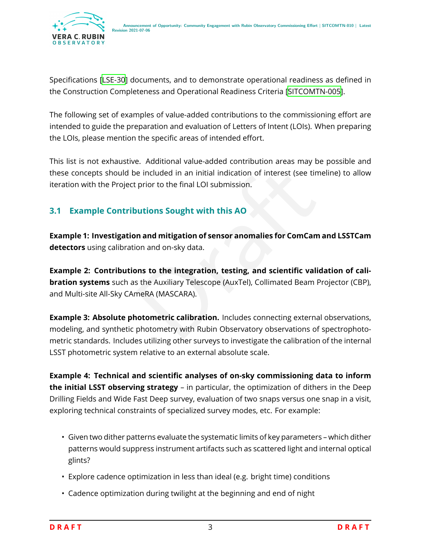Specifications[[LSE-30](#page-21-2)] documents, and to demonstrate operational readiness as defined in the Construction Completeness and Operational Readiness Criteria[[SITCOMTN-005\]](#page-21-3).

The following set of examples of value-added contributions to the commissioning effort are intended to guide the preparation and evaluation of Letters of Intent (LOIs). When preparing the LOIs, please mention the specific areas of intended effort.

This list is not exhaustive. Additional value-added contribution areas may be possible and these concepts should be included in an initial indication of interest (see timeline) to allow iteration with the Project prior to the final LOI submission.

#### <span id="page-6-0"></span>**3.1 Example Contributions Sought with this AO**

**Example 1: Investigation and mitigation of sensor anomalies for ComCam and LSSTCam detectors** using calibration and on-sky data.

in prior to the final LOI submission.<br>
Separation of interest (see timelial prior to the final LOI submission.<br>
Nutions Sought with this AO<br>
In and mitigation of sensor anomalies for ComCam an<br>
Separation of sensor anomali **Example 2: Contributions to the integration, testing, and scientific validation of calibration systems** such as the Auxiliary Telescope (AuxTel), Collimated Beam Projector (CBP), and Multi-site All-Sky CAmeRA (MASCARA).

**Example 3: Absolute photometric calibration.** Includes connecting external observations, modeling, and synthetic photometry with Rubin Observatory observations of spectrophotometric standards. Includes utilizing other surveys to investigate the calibration of the internal LSST photometric system relative to an external absolute scale.

**Example 4: Technical and scientific analyses of on-sky commissioning data to inform the initial LSST observing strategy** – in particular, the optimization of dithers in the Deep Drilling Fields and Wide Fast Deep survey, evaluation of two snaps versus one snap in a visit, exploring technical constraints of specialized survey modes, etc. For example:

- Given two dither patterns evaluate the systematic limits of key parameters which dither patterns would suppress instrument artifacts such as scattered light and internal optical glints?
- Explore cadence optimization in less than ideal (e.g. bright time) conditions
- Cadence optimization during twilight at the beginning and end of night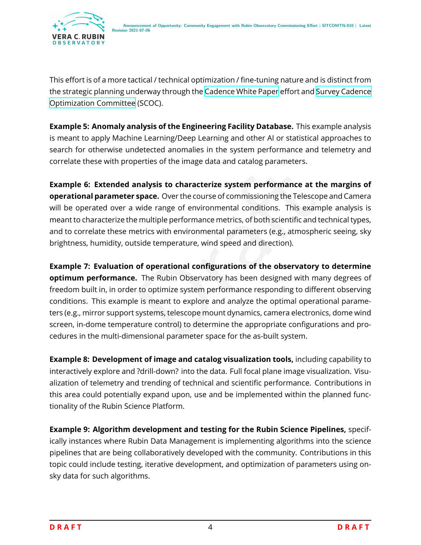

This effort is of a more tactical / technical optimization / fine-tuning nature and is distinct from the strategic planning underway through the [Cadence White Paper](https://www.lsst.org/content/survey-cadence-notes-2021) effort and [Survey Cadence](https://www.lsst.org/content/charge-survey-cadence-optimization-committee-scoc) [Optimization Committee](https://www.lsst.org/content/charge-survey-cadence-optimization-committee-scoc) (SCOC).

**Example 5: Anomaly analysis of the Engineering Facility Database.** This example analysis is meant to apply Machine Learning/Deep Learning and other AI or statistical approaches to search for otherwise undetected anomalies in the system performance and telemetry and correlate these with properties of the image data and catalog parameters.

**Example 6: Extended analysis to characterize system performance at the margins of operational parameter space.** Over the course of commissioning the Telescope and Camera will be operated over a wide range of environmental conditions. This example analysis is meant to characterize the multiple performance metrics, of both scientific and technical types, and to correlate these metrics with environmental parameters (e.g., atmospheric seeing, sky brightness, humidity, outside temperature, wind speed and direction).

**Inalysis to characterize system performance at the**<br> **space.** Over the course of commissioning the Telescope a<br>
wide range of environmental conditions. This example<br>
emultiple performance metrics, of both scientific and t **Example 7: Evaluation of operational configurations of the observatory to determine optimum performance.** The Rubin Observatory has been designed with many degrees of freedom built in, in order to optimize system performance responding to different observing conditions. This example is meant to explore and analyze the optimal operational parameters (e.g., mirror support systems, telescope mount dynamics, camera electronics, dome wind screen, in-dome temperature control) to determine the appropriate configurations and procedures in the multi-dimensional parameter space for the as-built system.

**Example 8: Development of image and catalog visualization tools,** including capability to interactively explore and ?drill-down? into the data. Full focal plane image visualization. Visualization of telemetry and trending of technical and scientific performance. Contributions in this area could potentially expand upon, use and be implemented within the planned functionality of the Rubin Science Platform.

**Example 9: Algorithm development and testing for the Rubin Science Pipelines,** specifically instances where Rubin Data Management is implementing algorithms into the science pipelines that are being collaboratively developed with the community. Contributions in this topic could include testing, iterative development, and optimization of parameters using onsky data for such algorithms.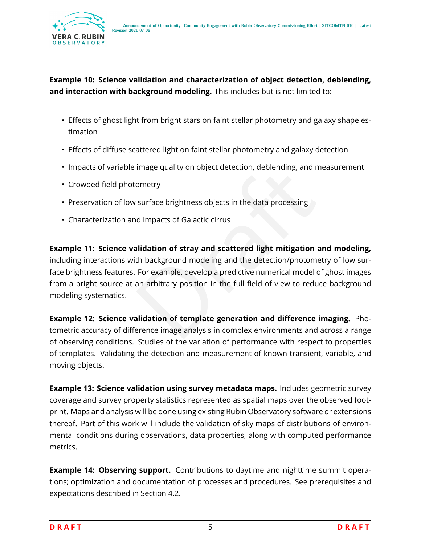#### **Example 10: Science validation and characterization of object detection, deblending, and interaction with background modeling.** This includes but is not limited to:

- Effects of ghost light from bright stars on faint stellar photometry and galaxy shape estimation
- Effects of diffuse scattered light on faint stellar photometry and galaxy detection
- Impacts of variable image quality on object detection, deblending, and measurement
- Crowded field photometry
- Preservation of low surface brightness objects in the data processing
- Characterization and impacts of Galactic cirrus

Image quality on object detection, deblending, and mea<br>
ometry<br>
surface brightness objects in the data processing<br>
alidation of stray and scattered light mitigation and<br>
th background modeling and the detection/photometry<br> **Example 11: Science validation of stray and scattered light mitigation and modeling,** including interactions with background modeling and the detection/photometry of low surface brightness features. For example, develop a predictive numerical model of ghost images from a bright source at an arbitrary position in the full field of view to reduce background modeling systematics.

**Example 12: Science validation of template generation and difference imaging.** Photometric accuracy of difference image analysis in complex environments and across a range of observing conditions. Studies of the variation of performance with respect to properties of templates. Validating the detection and measurement of known transient, variable, and moving objects.

**Example 13: Science validation using survey metadata maps.** Includes geometric survey coverage and survey property statistics represented as spatial maps over the observed footprint. Maps and analysis will be done using existing Rubin Observatory software or extensions thereof. Part of this work will include the validation of sky maps of distributions of environmental conditions during observations, data properties, along with computed performance metrics.

**Example 14: Observing support.** Contributions to daytime and nighttime summit operations; optimization and documentation of processes and procedures. See prerequisites and expectations described in Section [4.2](#page-12-0) .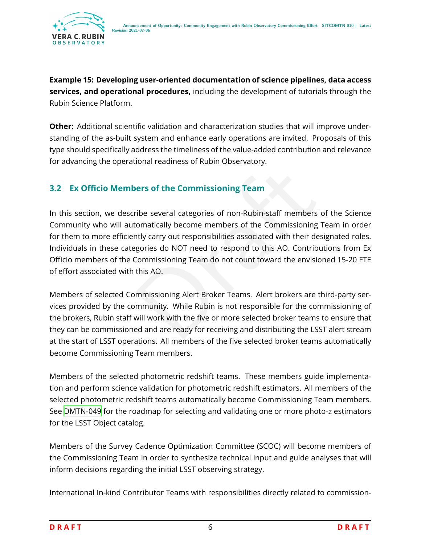**Example 15: Developing user-oriented documentation of science pipelines, data access services, and operational procedures,** including the development of tutorials through the Rubin Science Platform.

**Other:** Additional scientific validation and characterization studies that will improve understanding of the as-built system and enhance early operations are invited. Proposals of this type should specifically address the timeliness of the value-added contribution and relevance for advancing the operational readiness of Rubin Observatory.

#### **3.2 Ex Officio Members of the Commissioning Team**

<span id="page-9-0"></span>ers of the Commissioning Team<br>
The several categories of non-Rubin-staff members of<br>
Intervally become members of the Commissioning Team<br>
Interval carry out responsibilities associated with their desig<br>
gories do NOT need In this section, we describe several categories of non-Rubin-staff members of the Science Community who will automatically become members of the Commissioning Team in order for them to more efficiently carry out responsibilities associated with their designated roles. Individuals in these categories do NOT need to respond to this AO. Contributions from Ex Officio members of the Commissioning Team do not count toward the envisioned 15-20 FTE of effort associated with this AO.

Members of selected Commissioning Alert Broker Teams. Alert brokers are third-party services provided by the community. While Rubin is not responsible for the commissioning of the brokers, Rubin staff will work with the five or more selected broker teams to ensure that they can be commissioned and are ready for receiving and distributing the LSST alert stream at the start of LSST operations. All members of the five selected broker teams automatically become Commissioning Team members.

Members of the selected photometric redshift teams. These members guide implementation and perform science validation for photometric redshift estimators. All members of the selected photometric redshift teams automatically become Commissioning Team members. See [DMTN-049](#page-21-4) for the roadmap for selecting and validating one or more photo- $\it z$  estimators for the LSST Object catalog.

Members of the Survey Cadence Optimization Committee (SCOC) will become members of the Commissioning Team in order to synthesize technical input and guide analyses that will inform decisions regarding the initial LSST observing strategy.

International In-kind Contributor Teams with responsibilities directly related to commission-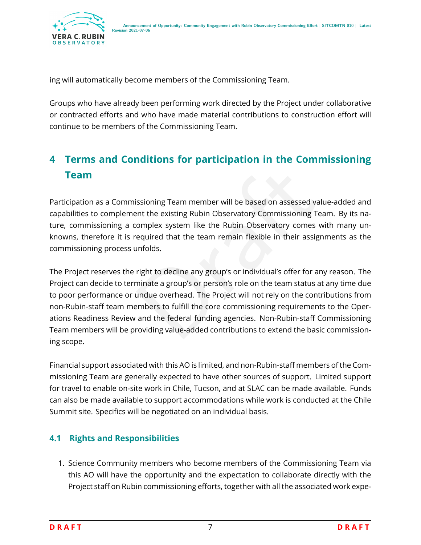

ing will automatically become members of the Commissioning Team.

Groups who have already been performing work directed by the Project under collaborative or contracted efforts and who have made material contributions to construction effort will continue to be members of the Commissioning Team.

# <span id="page-10-0"></span>**4 Terms and Conditions for participation in the Commissioning Team**

Participation as a Commissioning Team member will be based on assessed value-added and capabilities to complement the existing Rubin Observatory Commissioning Team. By its nature, commissioning a complex system like the Rubin Observatory comes with many unknowns, therefore it is required that the team remain flexible in their assignments as the commissioning process unfolds.

issioning Team member will be based on assessed value<br>ent the existing Rubin Observatory Commissioning Team<br>complex system like the Rubin Observatory comes wit<br>required that the team remain flexible in their assignm<br>unfold The Project reserves the right to decline any group's or individual's offer for any reason. The Project can decide to terminate a group's or person's role on the team status at any time due to poor performance or undue overhead. The Project will not rely on the contributions from non-Rubin-staff team members to fulfill the core commissioning requirements to the Operations Readiness Review and the federal funding agencies. Non-Rubin-staff Commissioning Team members will be providing value-added contributions to extend the basic commissioning scope.

Financial support associated with this AO is limited, and non-Rubin-staff members of the Commissioning Team are generally expected to have other sources of support. Limited support for travel to enable on-site work in Chile, Tucson, and at SLAC can be made available. Funds can also be made available to support accommodations while work is conducted at the Chile Summit site. Specifics will be negotiated on an individual basis.

#### <span id="page-10-1"></span>**4.1 Rights and Responsibilities**

1. Science Community members who become members of the Commissioning Team via this AO will have the opportunity and the expectation to collaborate directly with the Project staff on Rubin commissioning efforts, together with all the associated work expe-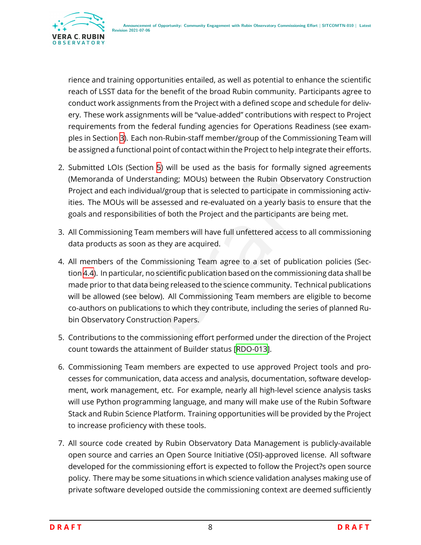

rience and training opportunities entailed, as well as potential to enhance the scientific reach of LSST data for the benefit of the broad Rubin community. Participants agree to conduct work assignments from the Project with a defined scope and schedule for delivery. These work assignments will be "value-added" contributions with respect to Project requirements from the federal funding agencies for Operations Readiness (see examples in Section [3\)](#page-5-0). Each non-Rubin-staff member/group of the Commissioning Team will be assigned a functional point of contact within the Project to help integrate their efforts.

- 2. Submitted LOIs (Section [5](#page-15-0)) will be used as the basis for formally signed agreements (Memoranda of Understanding; MOUs) between the Rubin Observatory Construction Project and each individual/group that is selected to participate in commissioning activities. The MOUs will be assessed and re-evaluated on a yearly basis to ensure that the goals and responsibilities of both the Project and the participants are being met.
- 3. All Commissioning Team members will have full unfettered access to all commissioning data products as soon as they are acquired.
- ection 5) will be used as the basis for formally signed anderstanding; MOUs) between the Rubin Observatory C<br>dividual/group that is selected to participate in commissil<br>li be assessed and re-evaluated on a yearly basis to 4. All members of the Commissioning Team agree to a set of publication policies (Section [4.4\)](#page-13-1). In particular, no scientific publication based on the commissioning data shall be made prior to that data being released to the science community. Technical publications will be allowed (see below). All Commissioning Team members are eligible to become co-authors on publications to which they contribute, including the series of planned Rubin Observatory Construction Papers.
- 5. Contributions to the commissioning effort performed under the direction of the Project count towards the attainment of Builder status[[RDO-013\]](#page-20-1).
- 6. Commissioning Team members are expected to use approved Project tools and processes for communication, data access and analysis, documentation, software development, work management, etc. For example, nearly all high-level science analysis tasks will use Python programming language, and many will make use of the Rubin Software Stack and Rubin Science Platform. Training opportunities will be provided by the Project to increase proficiency with these tools.
- 7. All source code created by Rubin Observatory Data Management is publicly-available open source and carries an Open Source Initiative (OSI)-approved license. All software developed for the commissioning effort is expected to follow the Project?s open source policy. There may be some situations in which science validation analyses making use of private software developed outside the commissioning context are deemed sufficiently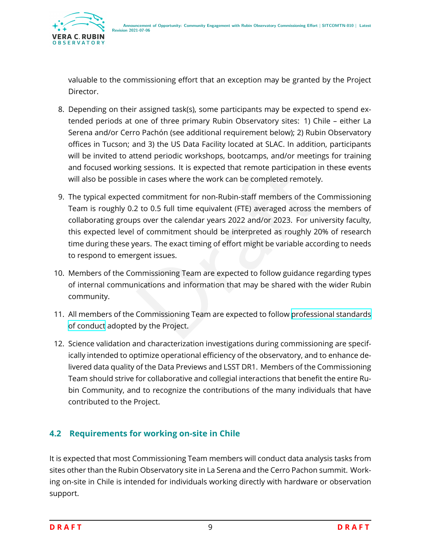

valuable to the commissioning effort that an exception may be granted by the Project Director.

- 8. Depending on their assigned task(s), some participants may be expected to spend extended periods at one of three primary Rubin Observatory sites: 1) Chile – either La Serena and/or Cerro Pachón (see additional requirement below); 2) Rubin Observatory offices in Tucson; and 3) the US Data Facility located at SLAC. In addition, participants will be invited to attend periodic workshops, bootcamps, and/or meetings for training and focused working sessions. It is expected that remote participation in these events will also be possible in cases where the work can be completed remotely.
- be in cases where the work can be completed remote participation in the in cases where the work can be completed remotely.<br>
d commitment for non-Rubin-staff members of the Con<br>
2 to 0.5 full time equivalent (FTE) averaged 9. The typical expected commitment for non-Rubin-staff members of the Commissioning Team is roughly 0.2 to 0.5 full time equivalent (FTE) averaged across the members of collaborating groups over the calendar years 2022 and/or 2023. For university faculty, this expected level of commitment should be interpreted as roughly 20% of research time during these years. The exact timing of effort might be variable according to needs to respond to emergent issues.
- 10. Members of the Commissioning Team are expected to follow guidance regarding types of internal communications and information that may be shared with the wider Rubin community.
- 11. All members of the Commissioning Team are expected to follow [professional standards](https://www.lsst.org/scientists/codes-of-conduct) [of conduct](https://www.lsst.org/scientists/codes-of-conduct) adopted by the Project.
- 12. Science validation and characterization investigations during commissioning are specifically intended to optimize operational efficiency of the observatory, and to enhance delivered data quality of the Data Previews and LSST DR1. Members of the Commissioning Team should strive for collaborative and collegial interactions that benefit the entire Rubin Community, and to recognize the contributions of the many individuals that have contributed to the Project.

#### <span id="page-12-0"></span>**4.2 Requirements for working on-site in Chile**

It is expected that most Commissioning Team members will conduct data analysis tasks from sites other than the Rubin Observatory site in La Serena and the Cerro Pachon summit. Working on-site in Chile is intended for individuals working directly with hardware or observation support.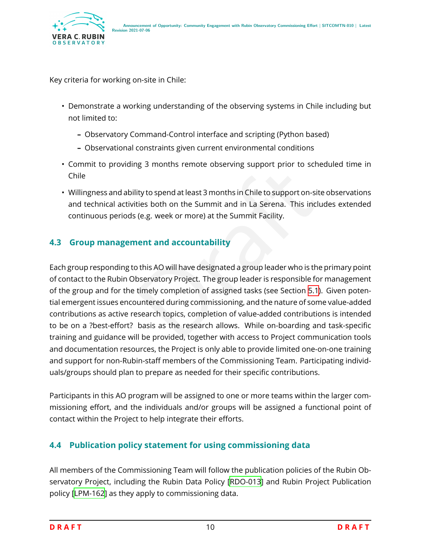

Key criteria for working on-site in Chile:

- Demonstrate a working understanding of the observing systems in Chile including but not limited to:
	- **–** Observatory Command-Control interface and scripting (Python based)
	- **–** Observational constraints given current environmental conditions
- Commit to providing 3 months remote observing support prior to scheduled time in Chile
- Willingness and ability to spend at least 3 months in Chile to support on-site observations and technical activities both on the Summit and in La Serena. This includes extended continuous periods (e.g. week or more) at the Summit Facility.

#### <span id="page-13-0"></span>**4.3 Group management and accountability**

ity to spend at least 3 months in Chile to support prior to scried<br>ties both on the Summit and in La Serena. This include<br>(e.g. week or more) at the Summit Facility.<br>**nent and accountability**<br>of this AO will have designate Each group responding to this AO will have designated a group leader who is the primary point of contact to the Rubin Observatory Project. The group leader is responsible for management of the group and for the timely completion of assigned tasks (see Section 5.1). Given potential emergent issues encountered during commissioning, and the nature of some value-added contributions as active research topics, completion of value-added contributions is intended to be on a ?best-effort? basis as the research allows. While on-boarding and task-specific training and guidance will be provided, together with access to Project communication tools and documentation resources, the Project is only able to provide limited one-on-one training and support for non-Rubin-staff members of the Commissioning Team. Participating individuals/groups should plan to prepare as needed for their specific contributions.

Participants in this AO program will be assigned to one or more teams within the larger commissioning effort, and the individuals and/or groups will be assigned a functional point of contact within the Project to help integrate their efforts.

#### <span id="page-13-1"></span>**4.4 Publication policy statement for using commissioning data**

All members of the Commissioning Team will follow the publication policies of the Rubin Observatory Project, including the Rubin Data Policy [\[RDO-013\]](#page-20-1) and Rubin Project Publication policy[[LPM-162](#page-21-5)] as they apply to commissioning data.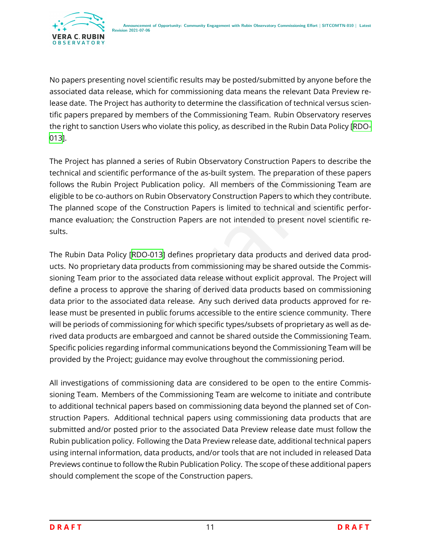

No papers presenting novel scientific results may be posted/submitted by anyone before the associated data release, which for commissioning data means the relevant Data Preview release date. The Project has authority to determine the classification of technical versus scientific papers prepared by members of the Commissioning Team. Rubin Observatory reserves the right to sanction Users who violate this policy, as described in the Rubin Data Policy [\[RDO-](#page-20-1)[013\]](#page-20-1).

The Project has planned a series of Rubin Observatory Construction Papers to describe the technical and scientific performance of the as-built system. The preparation of these papers follows the Rubin Project Publication policy. All members of the Commissioning Team are eligible to be co-authors on Rubin Observatory Construction Papers to which they contribute. The planned scope of the Construction Papers is limited to technical and scientific performance evaluation; the Construction Papers are not intended to present novel scientific results.

erformance of the as-built system. The preparation of the the Publication policy. All members of the Commissionin<br>on Rubin Observatory Construction Papers to which they<br>ne Construction Papers is limited to technical and sc The Rubin Data Policy [RDO-013] defines proprietary data products and derived data products. No proprietary data products from commissioning may be shared outside the Commissioning Team prior to the associated data release without explicit approval. The Project will define a process to approve the sharing of derived data products based on commissioning data prior to the associated data release. Any such derived data products approved for release must be presented in public forums accessible to the entire science community. There will be periods of commissioning for which specific types/subsets of proprietary as well as derived data products are embargoed and cannot be shared outside the Commissioning Team. Specific policies regarding informal communications beyond the Commissioning Team will be provided by the Project; guidance may evolve throughout the commissioning period.

All investigations of commissioning data are considered to be open to the entire Commissioning Team. Members of the Commissioning Team are welcome to initiate and contribute to additional technical papers based on commissioning data beyond the planned set of Construction Papers. Additional technical papers using commissioning data products that are submitted and/or posted prior to the associated Data Preview release date must follow the Rubin publication policy. Following the Data Preview release date, additional technical papers using internal information, data products, and/or tools that are not included in released Data Previews continue to follow the Rubin Publication Policy. The scope of these additional papers should complement the scope of the Construction papers.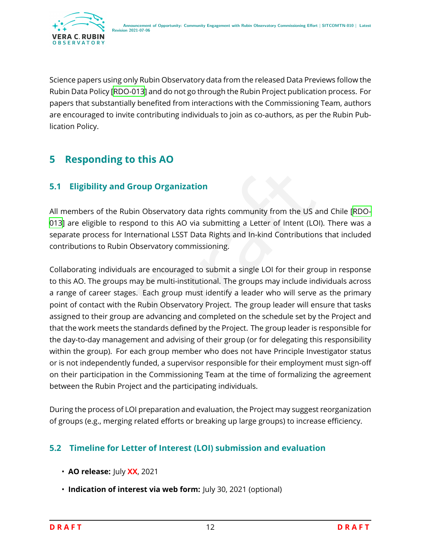

Science papers using only Rubin Observatory data from the released Data Previews follow the Rubin Data Policy[[RDO-013](#page-20-1)] and do not go through the Rubin Project publication process. For papers that substantially benefited from interactions with the Commissioning Team, authors are encouraged to invite contributing individuals to join as co-authors, as per the Rubin Publication Policy.

# <span id="page-15-0"></span>**5 Responding to this AO**

#### **5.1 Eligibility and Group Organization**

All members of the Rubin Observatory data rights community from the US and Chile [\[RDO-](#page-20-1)[013\]](#page-20-1) are eligible to respond to this AO via submitting a Letter of Intent (LOI). There was a separate process for International LSST Data Rights and In-kind Contributions that included contributions to Rubin Observatory commissioning.

<span id="page-15-1"></span>The US and the Secure of Secure 2013<br>The US and ond to this AO via submitting a Letter of Intent (LOI). The<br>The UST Data Rights and In-kind Contributions the<br>Servatory commissioning.<br>The Servatory commissioning.<br>The Servat Collaborating individuals are encouraged to submit a single LOI for their group in response to this AO. The groups may be multi-institutional. The groups may include individuals across a range of career stages. Each group must identify a leader who will serve as the primary point of contact with the Rubin Observatory Project. The group leader will ensure that tasks assigned to their group are advancing and completed on the schedule set by the Project and that the work meets the standards defined by the Project. The group leader is responsible for the day-to-day management and advising of their group (or for delegating this responsibility within the group). For each group member who does not have Principle Investigator status or is not independently funded, a supervisor responsible for their employment must sign-off on their participation in the Commissioning Team at the time of formalizing the agreement between the Rubin Project and the participating individuals.

During the process of LOI preparation and evaluation, the Project may suggest reorganization of groups (e.g., merging related efforts or breaking up large groups) to increase efficiency.

#### <span id="page-15-2"></span>**5.2 Timeline for Letter of Interest (LOI) submission and evaluation**

- **AO release:** July **XX**, 2021
- **Indication of interest via web form:** July 30, 2021 (optional)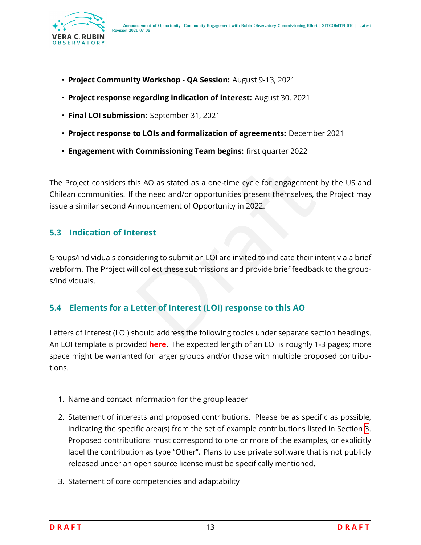

- **Project Community Workshop QA Session:** August 9-13, 2021
- **Project response regarding indication of interest:** August 30, 2021
- **Final LOI submission:** September 31, 2021
- **Project response to LOIs and formalization of agreements:** December 2021
- **Engagement with Commissioning Team begins:** first quarter 2022

is AO as stated as a one-time cycle for engagement by<br>the need and/or opportunities present themselves, the<br>nouncement of Opportunity in 2022.<br>**erest**<br>dering to submit an LOI are invited to indicate their inter<br>ll collect The Project considers this AO as stated as a one-time cycle for engagement by the US and Chilean communities. If the need and/or opportunities present themselves, the Project may issue a similar second Announcement of Opportunity in 2022.

#### <span id="page-16-0"></span>**5.3 Indication of Interest**

Groups/individuals considering to submit an LOI are invited to indicate their intent via a brief webform. The Project will collect these submissions and provide brief feedback to the groups/individuals.

#### <span id="page-16-1"></span>**5.4 Elements for a Letter of Interest (LOI) response to this AO**

Letters of Interest (LOI) should address the following topics under separate section headings. An LOI template is provided **here**. The expected length of an LOI is roughly 1-3 pages; more space might be warranted for larger groups and/or those with multiple proposed contributions.

- 1. Name and contact information for the group leader
- 2. Statement of interests and proposed contributions. Please be as specific as possible, indicating the specific area(s) from the set of example contributions listed in Section [3](#page-5-0) . Proposed contributions must correspond to one or more of the examples, or explicitly label the contribution as type "Other". Plans to use private software that is not publicly released under an open source license must be specifically mentioned.
- 3. Statement of core competencies and adaptability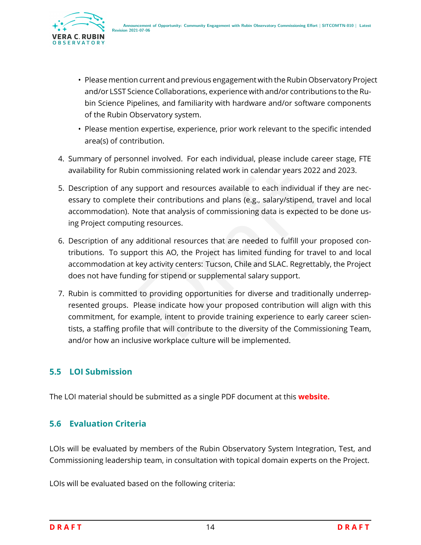

- Please mention current and previous engagement with the Rubin Observatory Project and/or LSST Science Collaborations, experience with and/or contributions to the Rubin Science Pipelines, and familiarity with hardware and/or software components of the Rubin Observatory system.
- Please mention expertise, experience, prior work relevant to the specific intended area(s) of contribution.
- 4. Summary of personnel involved. For each individual, please include career stage, FTE availability for Rubin commissioning related work in calendar years 2022 and 2023.
- 5. Description of any support and resources available to each individual if they are necessary to complete their contributions and plans (e.g., salary/stipend, travel and local accommodation). Note that analysis of commissioning data is expected to be done using Project computing resources.
- 6. Description of any additional resources that are needed to fulfill your proposed contributions. To support this AO, the Project has limited funding for travel to and local accommodation at key activity centers: Tucson, Chile and SLAC. Regrettably, the Project does not have funding for stipend or supplemental salary support.
- n commissioning related work in calendar years 2022 an<br>support and resources available to each individual if th<br>their contributions and plans (e.g., salary/stipend, trav<br>dote that analysis of commissioning data is expected 7. Rubin is committed to providing opportunities for diverse and traditionally underrepresented groups. Please indicate how your proposed contribution will align with this commitment, for example, intent to provide training experience to early career scientists, a staffing profile that will contribute to the diversity of the Commissioning Team, and/or how an inclusive workplace culture will be implemented.

#### <span id="page-17-0"></span>**5.5 LOI Submission**

<span id="page-17-1"></span>The LOI material should be submitted as a single PDF document at this **website.**

#### **5.6 Evaluation Criteria**

LOIs will be evaluated by members of the Rubin Observatory System Integration, Test, and Commissioning leadership team, in consultation with topical domain experts on the Project.

LOIs will be evaluated based on the following criteria: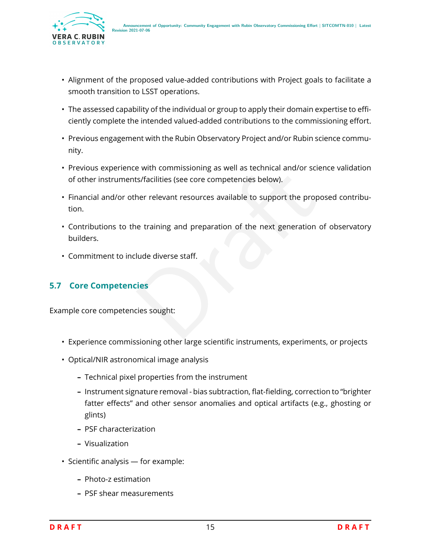

- Alignment of the proposed value-added contributions with Project goals to facilitate a smooth transition to LSST operations.
- The assessed capability of the individual or group to apply their domain expertise to efficiently complete the intended valued-added contributions to the commissioning effort.
- Previous engagement with the Rubin Observatory Project and/or Rubin science community.
- Previous experience with commissioning as well as technical and/or science validation of other instruments/facilities (see core competencies below).
- e with commissioning as well as technical and/or sciencets/facilities (see core competencies below).<br>
her relevant resources available to support the propose<br>
ne training and preparation of the next generation of<br>
lude div • Financial and/or other relevant resources available to support the proposed contribution.
- Contributions to the training and preparation of the next generation of observatory builders.
- Commitment to include diverse staff.

#### <span id="page-18-0"></span>**5.7 Core Competencies**

Example core competencies sought:

- Experience commissioning other large scientific instruments, experiments, or projects
- Optical/NIR astronomical image analysis
	- **–** Technical pixel properties from the instrument
	- **–** Instrument signature removal bias subtraction, flat-fielding, correction to "brighter fatter effects" and other sensor anomalies and optical artifacts (e.g., ghosting or glints)
	- **–** PSF characterization
	- **–** Visualization
- Scientific analysis for example:
	- **–** Photo-z estimation
	- **–** PSF shear measurements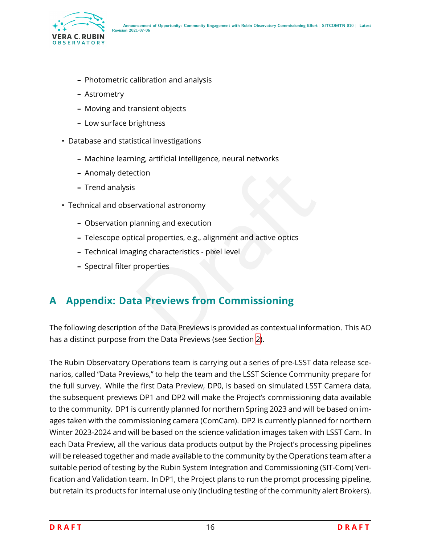

- **–** Photometric calibration and analysis
- **–** Astrometry
- **–** Moving and transient objects
- **–** Low surface brightness
- Database and statistical investigations
	- **–** Machine learning, artificial intelligence, neural networks
	- **–** Anomaly detection
	- **–** Trend analysis
- Technical and observational astronomy
	- **–** Observation planning and execution
	- **–** Telescope optical properties, e.g., alignment and active optics
	- **–** Technical imaging characteristics pixel level
	- **–** Spectral filter properties

## <span id="page-19-0"></span>**A Appendix: Data Previews from Commissioning**

Transformal<br>
Stational astronomy<br>
Standard Properties, e.g., alignment and active optics<br>
Standard Previews From Commissioning<br>
The Data Previews is provided as contextual information<br>
The Data Previews is provided as cont The following description of the Data Previews is provided as contextual information. This AO has a distinct purpose from the Data Previews (see Section [2\)](#page-4-1).

The Rubin Observatory Operations team is carrying out a series of pre-LSST data release scenarios, called "Data Previews," to help the team and the LSST Science Community prepare for the full survey. While the first Data Preview, DP0, is based on simulated LSST Camera data, the subsequent previews DP1 and DP2 will make the Project's commissioning data available to the community. DP1 is currently planned for northern Spring 2023 and will be based on images taken with the commissioning camera (ComCam). DP2 is currently planned for northern Winter 2023-2024 and will be based on the science validation images taken with LSST Cam. In each Data Preview, all the various data products output by the Project's processing pipelines will be released together and made available to the community by the Operations team after a suitable period of testing by the Rubin System Integration and Commissioning (SIT-Com) Verification and Validation team. In DP1, the Project plans to run the prompt processing pipeline, but retain its products for internal use only (including testing of the community alert Brokers).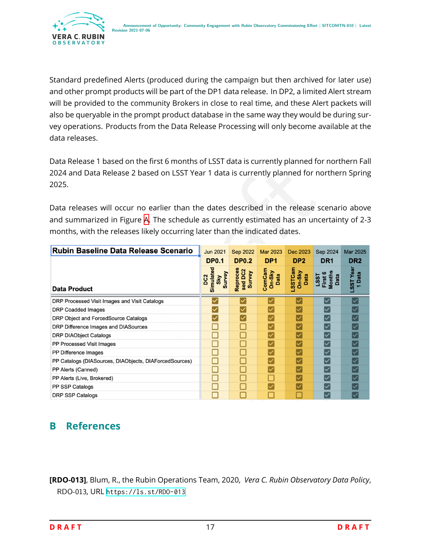

Standard predefined Alerts (produced during the campaign but then archived for later use) and other prompt products will be part of the DP1 data release. In DP2, a limited Alert stream will be provided to the community Brokers in close to real time, and these Alert packets will also be queryable in the prompt product database in the same way they would be during survey operations. Products from the Data Release Processing will only become available at the data releases.

Data Release 1 based on the first 6 months of LSST data is currently planned for northern Fall 2024 and Data Release 2 based on LSST Year 1 data is currently planned for northern Spring 2025.

| 2024 and Data Release 2 based on LSST Year 1 data is currently planned for northern Spring<br>2025. |                                               |                               |                          |                           |                                   |                     |
|-----------------------------------------------------------------------------------------------------|-----------------------------------------------|-------------------------------|--------------------------|---------------------------|-----------------------------------|---------------------|
| Data releases will occur no earlier than the dates described in the release scenario above          |                                               |                               |                          |                           |                                   |                     |
| and summarized in Figure A. The schedule as currently estimated has an uncertainty of 2-3           |                                               |                               |                          |                           |                                   |                     |
| months, with the releases likely occurring later than the indicated dates.                          |                                               |                               |                          |                           |                                   |                     |
| Rubin Baseline Data Release Scenario                                                                | <b>Jun 2021</b>                               | <b>Sep 2022</b>               | <b>Mar 2023</b>          | <b>Dec 2023</b>           | Sep 2024                          | <b>Mar 2025</b>     |
|                                                                                                     | <b>DP0.1</b>                                  | <b>DP0.2</b>                  | DP <sub>1</sub>          | DP <sub>2</sub>           | DR <sub>1</sub>                   | DR <sub>2</sub>     |
| <b>Data Product</b>                                                                                 | Simulated<br>Sky<br>Survey<br>DC <sub>2</sub> | Reproces<br>sed DC2<br>Survey | ComCam<br>On-Sky<br>Data | LSSTCam<br>On-Sky<br>Data | LSST<br>First 6<br>Months<br>Data | LSST Year<br>1 Data |
| DRP Processed Visit Images and Visit Catalogs                                                       |                                               |                               |                          |                           | $\overline{\checkmark}$           |                     |
| <b>DRP Coadded Images</b>                                                                           |                                               |                               |                          |                           | $\checkmark$                      |                     |
| DRP Object and ForcedSource Catalogs                                                                |                                               |                               |                          |                           | $\checkmark$                      |                     |
| DRP Difference Images and DIASources                                                                |                                               |                               |                          |                           | $\checkmark$                      |                     |
| <b>DRP DIAObject Catalogs</b>                                                                       |                                               |                               |                          |                           | $\overline{\checkmark}$           |                     |
| PP Processed Visit Images                                                                           | П                                             |                               |                          |                           | $\checkmark$                      |                     |
| PP Difference Images                                                                                | ⊓                                             |                               |                          |                           | $\overline{\mathsf{v}}$           |                     |
| PP Catalogs (DIASources, DIAObjects, DIAForcedSources)                                              | □                                             |                               |                          |                           | $\checkmark$                      |                     |
| PP Alerts (Canned)                                                                                  | □                                             |                               |                          |                           | $\blacktriangledown$              |                     |
| PP Alerts (Live, Brokered)                                                                          | П                                             |                               |                          |                           | $\checkmark$                      |                     |
| PP SSP Catalogs                                                                                     |                                               |                               |                          |                           |                                   |                     |
| <b>DRP SSP Catalogs</b>                                                                             | П                                             |                               |                          |                           |                                   |                     |

## <span id="page-20-0"></span>**B References**

<span id="page-20-1"></span>**[RDO-013]**, Blum, R., the Rubin Operations Team, 2020, *Vera C. Rubin Observatory Data Policy*, RDO-013, URL <https://ls.st/RDO-013>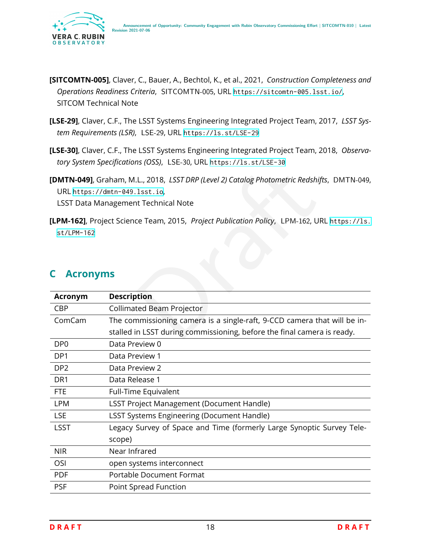

- <span id="page-21-3"></span>**[SITCOMTN-005]**, Claver, C., Bauer, A., Bechtol, K., et al., 2021, *Construction Completeness and* Operations Readiness Criteria, SITCOMTN-005, URL https://sitcomtn-005.1sst.io/, SITCOM Technical Note
- <span id="page-21-1"></span>**[LSE-29]**, Claver, C.F., The LSST Systems Engineering Integrated Project Team, 2017, *LSST System Requirements (LSR)*, LSE-29, URL <https://ls.st/LSE-29>
- <span id="page-21-2"></span>**[LSE-30]**, Claver, C.F., The LSST Systems Engineering Integrated Project Team, 2018, *Observatory System Specifications (OSS)*, LSE-30, URL <https://ls.st/LSE-30>
- **[DMTN-049]**, Graham, M.L., 2018, *LSST DRP (Level 2) Catalog Photometric Redshifts* , DMTN-049 , URL <https://dmtn-049.lsst.io> , LSST Data Management Technical Note
- <span id="page-21-5"></span>**[LPM-162]**, Project Science Team, 2015, *Project Publication Policy*, LPM-162, URL [https://ls.](https://ls.st/LPM-162) [st/LPM-162](https://ls.st/LPM-162)

<span id="page-21-4"></span>

|                                 | [DMTN-049], Graham, M.L., 2018, LSST DRP (Level 2) Catalog Photometric Redshifts, DMTN-04<br>URL https://dmtn-049.lsst.io,<br><b>LSST Data Management Technical Note</b> |
|---------------------------------|--------------------------------------------------------------------------------------------------------------------------------------------------------------------------|
| $st/LPM-162$<br><b>Acronyms</b> | [LPM-162], Project Science Team, 2015, Project Publication Policy, LPM-162, URL https://1s                                                                               |
|                                 |                                                                                                                                                                          |
| Acronym                         | <b>Description</b>                                                                                                                                                       |
| <b>CBP</b>                      | <b>Collimated Beam Projector</b>                                                                                                                                         |
| ComCam                          | The commissioning camera is a single-raft, 9-CCD camera that will be in-                                                                                                 |
|                                 | stalled in LSST during commissioning, before the final camera is ready.                                                                                                  |
| DP <sub>0</sub>                 | Data Preview 0                                                                                                                                                           |
| DP1                             | Data Preview 1                                                                                                                                                           |
| DP <sub>2</sub>                 | Data Preview 2                                                                                                                                                           |
| DR <sub>1</sub>                 | Data Release 1                                                                                                                                                           |
| <b>FTE</b>                      | Full-Time Equivalent                                                                                                                                                     |
| <b>LPM</b>                      | <b>LSST Project Management (Document Handle)</b>                                                                                                                         |
| <b>LSE</b>                      | <b>LSST Systems Engineering (Document Handle)</b>                                                                                                                        |
| <b>LSST</b>                     | Legacy Survey of Space and Time (formerly Large Synoptic Survey Tele-                                                                                                    |
|                                 | scope)                                                                                                                                                                   |
| <b>NIR</b>                      | Near Infrared                                                                                                                                                            |
| OSI                             | open systems interconnect                                                                                                                                                |
| <b>PDF</b>                      | <b>Portable Document Format</b>                                                                                                                                          |
| <b>PSF</b>                      | Point Spread Function                                                                                                                                                    |
|                                 |                                                                                                                                                                          |

#### <span id="page-21-0"></span>**C Acronyms**